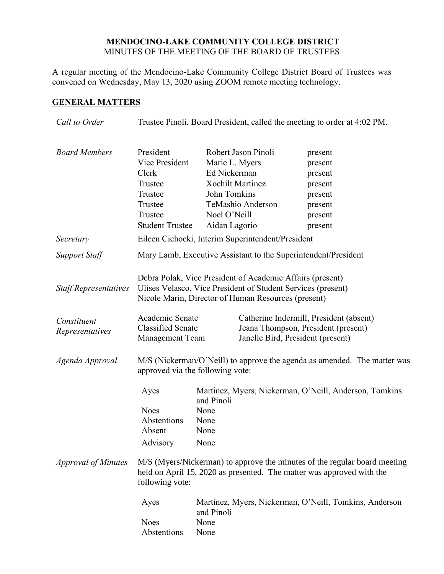## **MENDOCINO-LAKE COMMUNITY COLLEGE DISTRICT** MINUTES OF THE MEETING OF THE BOARD OF TRUSTEES

A regular meeting of the Mendocino-Lake Community College District Board of Trustees was convened on Wednesday, May 13, 2020 using ZOOM remote meeting technology.

# **GENERAL MATTERS**

| Call to Order                  | Trustee Pinoli, Board President, called the meeting to order at 4:02 PM.                                                                                                         |                                                                                                            |                                                                                                                     |                                                                                                                                                                                                              |
|--------------------------------|----------------------------------------------------------------------------------------------------------------------------------------------------------------------------------|------------------------------------------------------------------------------------------------------------|---------------------------------------------------------------------------------------------------------------------|--------------------------------------------------------------------------------------------------------------------------------------------------------------------------------------------------------------|
| <b>Board Members</b>           | President<br>Vice President<br>Clerk<br>Trustee<br>Trustee<br>Trustee<br>Trustee<br><b>Student Trustee</b>                                                                       | Marie L. Myers<br>Ed Nickerman<br><b>Xochilt Martinez</b><br>John Tomkins<br>Noel O'Neill<br>Aidan Lagorio | Robert Jason Pinoli<br>TeMashio Anderson                                                                            | present<br>present<br>present<br>present<br>present<br>present<br>present<br>present                                                                                                                         |
| Secretary                      | Eileen Cichocki, Interim Superintendent/President                                                                                                                                |                                                                                                            |                                                                                                                     |                                                                                                                                                                                                              |
| <b>Support Staff</b>           | Mary Lamb, Executive Assistant to the Superintendent/President                                                                                                                   |                                                                                                            |                                                                                                                     |                                                                                                                                                                                                              |
| <b>Staff Representatives</b>   | Debra Polak, Vice President of Academic Affairs (present)<br>Ulises Velasco, Vice President of Student Services (present)<br>Nicole Marin, Director of Human Resources (present) |                                                                                                            |                                                                                                                     |                                                                                                                                                                                                              |
| Constituent<br>Representatives | Academic Senate<br><b>Classified Senate</b><br><b>Management Team</b>                                                                                                            |                                                                                                            | Catherine Indermill, President (absent)<br>Jeana Thompson, President (present)<br>Janelle Bird, President (present) |                                                                                                                                                                                                              |
| Agenda Approval                | M/S (Nickerman/O'Neill) to approve the agenda as amended. The matter was<br>approved via the following vote:                                                                     |                                                                                                            |                                                                                                                     |                                                                                                                                                                                                              |
| <b>Approval of Minutes</b>     | Ayes<br><b>Noes</b><br>Abstentions<br>Absent<br>Advisory                                                                                                                         | and Pinoli<br>None<br>None<br>None<br>None                                                                 |                                                                                                                     | Martinez, Myers, Nickerman, O'Neill, Anderson, Tomkins<br>M/S (Myers/Nickerman) to approve the minutes of the regular board meeting<br>held on April 15, 2020 as presented. The matter was approved with the |
|                                | following vote:<br>Ayes<br><b>Noes</b><br>Abstentions                                                                                                                            | and Pinoli<br>None<br>None                                                                                 |                                                                                                                     | Martinez, Myers, Nickerman, O'Neill, Tomkins, Anderson                                                                                                                                                       |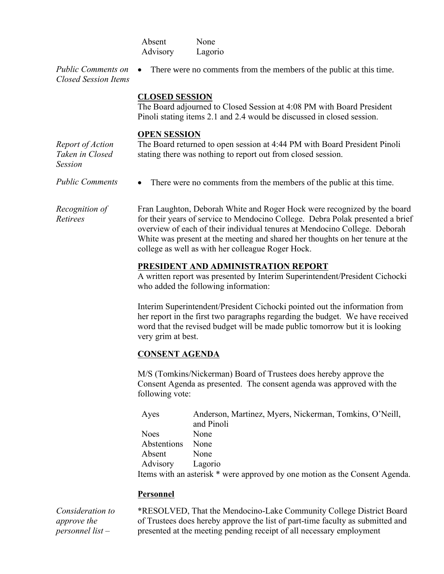|                                                                | Absent<br>Advisory                                                                                                                                                                                                                                                                                                                                                             | None<br>Lagorio                                                                                                                                                                                                               |  |  |
|----------------------------------------------------------------|--------------------------------------------------------------------------------------------------------------------------------------------------------------------------------------------------------------------------------------------------------------------------------------------------------------------------------------------------------------------------------|-------------------------------------------------------------------------------------------------------------------------------------------------------------------------------------------------------------------------------|--|--|
| <b>Public Comments on</b><br><b>Closed Session Items</b>       |                                                                                                                                                                                                                                                                                                                                                                                | There were no comments from the members of the public at this time.                                                                                                                                                           |  |  |
|                                                                | <b>CLOSED SESSION</b>                                                                                                                                                                                                                                                                                                                                                          | The Board adjourned to Closed Session at 4:08 PM with Board President<br>Pinoli stating items 2.1 and 2.4 would be discussed in closed session.                                                                               |  |  |
| Report of Action<br>Taken in Closed<br><b>Session</b>          | <b>OPEN SESSION</b>                                                                                                                                                                                                                                                                                                                                                            | The Board returned to open session at 4:44 PM with Board President Pinoli<br>stating there was nothing to report out from closed session.                                                                                     |  |  |
| <b>Public Comments</b>                                         |                                                                                                                                                                                                                                                                                                                                                                                | There were no comments from the members of the public at this time.                                                                                                                                                           |  |  |
| Recognition of<br>Retirees                                     | Fran Laughton, Deborah White and Roger Hock were recognized by the board<br>for their years of service to Mendocino College. Debra Polak presented a brief<br>overview of each of their individual tenures at Mendocino College. Deborah<br>White was present at the meeting and shared her thoughts on her tenure at the<br>college as well as with her colleague Roger Hock. |                                                                                                                                                                                                                               |  |  |
|                                                                | PRESIDENT AND ADMINISTRATION REPORT<br>A written report was presented by Interim Superintendent/President Cichocki<br>who added the following information:                                                                                                                                                                                                                     |                                                                                                                                                                                                                               |  |  |
|                                                                | Interim Superintendent/President Cichocki pointed out the information from<br>her report in the first two paragraphs regarding the budget. We have received<br>word that the revised budget will be made public tomorrow but it is looking<br>very grim at best.                                                                                                               |                                                                                                                                                                                                                               |  |  |
|                                                                | <b>CONSENT AGENDA</b>                                                                                                                                                                                                                                                                                                                                                          |                                                                                                                                                                                                                               |  |  |
|                                                                | following vote:                                                                                                                                                                                                                                                                                                                                                                | M/S (Tomkins/Nickerman) Board of Trustees does hereby approve the<br>Consent Agenda as presented. The consent agenda was approved with the                                                                                    |  |  |
|                                                                | Ayes                                                                                                                                                                                                                                                                                                                                                                           | Anderson, Martinez, Myers, Nickerman, Tomkins, O'Neill,<br>and Pinoli                                                                                                                                                         |  |  |
|                                                                | <b>Noes</b>                                                                                                                                                                                                                                                                                                                                                                    | None                                                                                                                                                                                                                          |  |  |
|                                                                | Abstentions                                                                                                                                                                                                                                                                                                                                                                    | None                                                                                                                                                                                                                          |  |  |
|                                                                | Absent<br>Advisory                                                                                                                                                                                                                                                                                                                                                             | None<br>Lagorio                                                                                                                                                                                                               |  |  |
|                                                                |                                                                                                                                                                                                                                                                                                                                                                                | Items with an asterisk * were approved by one motion as the Consent Agenda.                                                                                                                                                   |  |  |
|                                                                | <b>Personnel</b>                                                                                                                                                                                                                                                                                                                                                               |                                                                                                                                                                                                                               |  |  |
| Consideration to<br><i>approve the</i><br>$personnel$ list $-$ |                                                                                                                                                                                                                                                                                                                                                                                | *RESOLVED, That the Mendocino-Lake Community College District Board<br>of Trustees does hereby approve the list of part-time faculty as submitted and<br>presented at the meeting pending receipt of all necessary employment |  |  |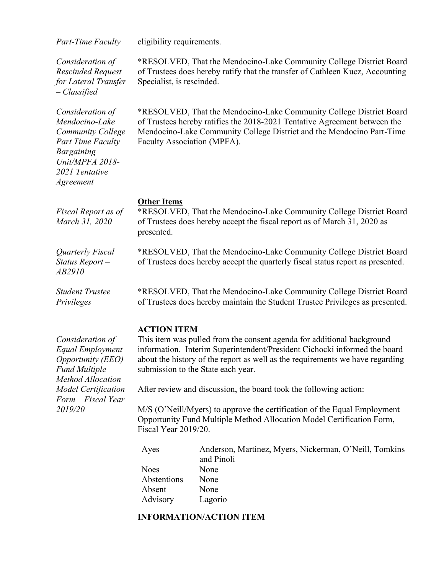| <b>Part-Time Faculty</b> |  |  |  |  |  |
|--------------------------|--|--|--|--|--|
|--------------------------|--|--|--|--|--|

*Consideration of Rescinded Request for Lateral Transfer – Classified*

*Consideration of Mendocino-Lake Community College Part Time Faculty Bargaining Unit/MPFA 2018- 2021 Tentative Agreement* 

*Fiscal Report as of March 31, 2020*

*Part-Property* equirements.

\*RESOLVED, That the Mendocino-Lake Community College District Board of Trustees does hereby ratify that the transfer of Cathleen Kucz, Accounting Specialist, is rescinded.

\*RESOLVED, That the Mendocino-Lake Community College District Board of Trustees hereby ratifies the 2018-2021 Tentative Agreement between the Mendocino-Lake Community College District and the Mendocino Part-Time Faculty Association (MPFA).

#### **Other Items**

\*RESOLVED, That the Mendocino-Lake Community College District Board of Trustees does hereby accept the fiscal report as of March 31, 2020 as presented.

*Quarterly Fiscal Status Report – AB2910*

\*RESOLVED, That the Mendocino-Lake Community College District Board of Trustees does hereby accept the quarterly fiscal status report as presented.

*Student Trustee Privileges*

\*RESOLVED, That the Mendocino-Lake Community College District Board of Trustees does hereby maintain the Student Trustee Privileges as presented.

#### **ACTION ITEM**

This item was pulled from the consent agenda for additional background information. Interim Superintendent/President Cichocki informed the board about the history of the report as well as the requirements we have regarding submission to the State each year.

After review and discussion, the board took the following action:

M/S (O'Neill/Myers) to approve the certification of the Equal Employment Opportunity Fund Multiple Method Allocation Model Certification Form, Fiscal Year 2019/20.

| Ayes        | Anderson, Martinez, Myers, Nickerman, O'Neill, Tomkins |
|-------------|--------------------------------------------------------|
|             | and Pinoli                                             |
| <b>Noes</b> | None                                                   |
| Abstentions | None                                                   |
| Absent      | None                                                   |
| Advisory    | Lagorio                                                |

### **INFORMATION/ACTION ITEM**

*Consideration of Equal Employment Opportunity (EEO) Fund Multiple Method Allocation Model Certification Form – Fiscal Year 2019/20*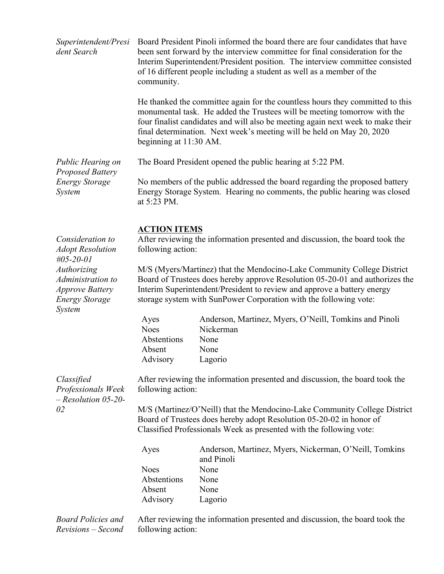| Superintendent/Presi<br>dent Search                                                                  | community.                                                                                                                                                                                                              | Board President Pinoli informed the board there are four candidates that have<br>been sent forward by the interview committee for final consideration for the<br>Interim Superintendent/President position. The interview committee consisted<br>of 16 different people including a student as well as a member of the |  |
|------------------------------------------------------------------------------------------------------|-------------------------------------------------------------------------------------------------------------------------------------------------------------------------------------------------------------------------|------------------------------------------------------------------------------------------------------------------------------------------------------------------------------------------------------------------------------------------------------------------------------------------------------------------------|--|
|                                                                                                      | beginning at 11:30 AM.                                                                                                                                                                                                  | He thanked the committee again for the countless hours they committed to this<br>monumental task. He added the Trustees will be meeting tomorrow with the<br>four finalist candidates and will also be meeting again next week to make their<br>final determination. Next week's meeting will be held on May 20, 2020  |  |
| Public Hearing on<br><b>Proposed Battery</b>                                                         |                                                                                                                                                                                                                         | The Board President opened the public hearing at 5:22 PM.                                                                                                                                                                                                                                                              |  |
| <b>Energy Storage</b><br>System                                                                      | No members of the public addressed the board regarding the proposed battery<br>Energy Storage System. Hearing no comments, the public hearing was closed<br>at 5:23 PM.                                                 |                                                                                                                                                                                                                                                                                                                        |  |
| Consideration to<br><b>Adopt Resolution</b><br>$\#05 - 20 - 01$                                      | <b>ACTION ITEMS</b><br>following action:                                                                                                                                                                                | After reviewing the information presented and discussion, the board took the                                                                                                                                                                                                                                           |  |
| Authorizing<br>Administration to<br><b>Approve Battery</b><br><b>Energy Storage</b><br><b>System</b> |                                                                                                                                                                                                                         | M/S (Myers/Martinez) that the Mendocino-Lake Community College District<br>Board of Trustees does hereby approve Resolution 05-20-01 and authorizes the<br>Interim Superintendent/President to review and approve a battery energy<br>storage system with SunPower Corporation with the following vote:                |  |
|                                                                                                      | Ayes<br><b>Noes</b><br>Abstentions<br>Absent                                                                                                                                                                            | Anderson, Martinez, Myers, O'Neill, Tomkins and Pinoli<br>Nickerman<br>None<br>None                                                                                                                                                                                                                                    |  |
| Classified<br>Professionals Week                                                                     | Advisory<br>following action:                                                                                                                                                                                           | Lagorio<br>After reviewing the information presented and discussion, the board took the                                                                                                                                                                                                                                |  |
| $-$ Resolution 05-20-<br>02                                                                          | M/S (Martinez/O'Neill) that the Mendocino-Lake Community College District<br>Board of Trustees does hereby adopt Resolution 05-20-02 in honor of<br>Classified Professionals Week as presented with the following vote: |                                                                                                                                                                                                                                                                                                                        |  |
|                                                                                                      | Ayes                                                                                                                                                                                                                    | Anderson, Martinez, Myers, Nickerman, O'Neill, Tomkins<br>and Pinoli                                                                                                                                                                                                                                                   |  |
|                                                                                                      | <b>Noes</b>                                                                                                                                                                                                             | None                                                                                                                                                                                                                                                                                                                   |  |
|                                                                                                      | Abstentions                                                                                                                                                                                                             | None                                                                                                                                                                                                                                                                                                                   |  |
|                                                                                                      | Absent<br>Advisory                                                                                                                                                                                                      | None<br>Lagorio                                                                                                                                                                                                                                                                                                        |  |
| <b>Board Policies and</b>                                                                            |                                                                                                                                                                                                                         | After reviewing the information presented and discussion, the board took the                                                                                                                                                                                                                                           |  |

*Revisions – Second* 

After reviewing the information presented and discussion, the board took the following action: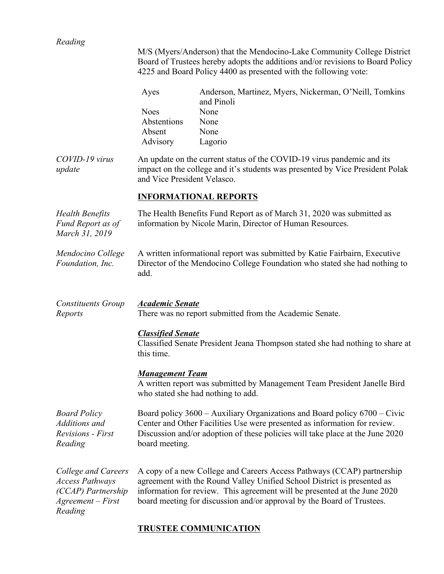| Reading                                                                                               |                                        | M/S (Myers/Anderson) that the Mendocino-Lake Community College District                                                                                                                                                                                                                                  |
|-------------------------------------------------------------------------------------------------------|----------------------------------------|----------------------------------------------------------------------------------------------------------------------------------------------------------------------------------------------------------------------------------------------------------------------------------------------------------|
|                                                                                                       |                                        | Board of Trustees hereby adopts the additions and/or revisions to Board Policy<br>4225 and Board Policy 4400 as presented with the following vote:                                                                                                                                                       |
|                                                                                                       | Ayes                                   | Anderson, Martinez, Myers, Nickerman, O'Neill, Tomkins<br>and Pinoli                                                                                                                                                                                                                                     |
|                                                                                                       | <b>Noes</b><br>Abstentions             | None<br>None                                                                                                                                                                                                                                                                                             |
|                                                                                                       | Absent                                 | None                                                                                                                                                                                                                                                                                                     |
|                                                                                                       | Advisory                               | Lagorio                                                                                                                                                                                                                                                                                                  |
| COVID-19 virus<br>update                                                                              | and Vice President Velasco.            | An update on the current status of the COVID-19 virus pandemic and its<br>impact on the college and it's students was presented by Vice President Polak                                                                                                                                                  |
|                                                                                                       |                                        | <b>INFORMATIONAL REPORTS</b>                                                                                                                                                                                                                                                                             |
| <b>Health Benefits</b><br>Fund Report as of<br>March 31, 2019                                         |                                        | The Health Benefits Fund Report as of March 31, 2020 was submitted as<br>information by Nicole Marin, Director of Human Resources.                                                                                                                                                                       |
| Mendocino College<br>Foundation, Inc.                                                                 | add.                                   | A written informational report was submitted by Katie Fairbairn, Executive<br>Director of the Mendocino College Foundation who stated she had nothing to                                                                                                                                                 |
| <b>Constituents Group</b><br>Reports                                                                  | <b>Academic Senate</b>                 | There was no report submitted from the Academic Senate.                                                                                                                                                                                                                                                  |
|                                                                                                       | <b>Classified Senate</b><br>this time. | Classified Senate President Jeana Thompson stated she had nothing to share at                                                                                                                                                                                                                            |
|                                                                                                       | <b>Management Team</b>                 | A written report was submitted by Management Team President Janelle Bird<br>who stated she had nothing to add.                                                                                                                                                                                           |
| <b>Board Policy</b><br>Additions and<br><b>Revisions</b> - First<br>Reading                           | board meeting.                         | Board policy 3600 – Auxiliary Organizations and Board policy 6700 – Civic<br>Center and Other Facilities Use were presented as information for review.<br>Discussion and/or adoption of these policies will take place at the June 2020                                                                  |
| College and Careers<br><b>Access Pathways</b><br>(CCAP) Partnership<br>$Agreement - First$<br>Reading |                                        | A copy of a new College and Careers Access Pathways (CCAP) partnership<br>agreement with the Round Valley Unified School District is presented as<br>information for review. This agreement will be presented at the June 2020<br>board meeting for discussion and/or approval by the Board of Trustees. |

# **TRUSTEE COMMUNICATION**